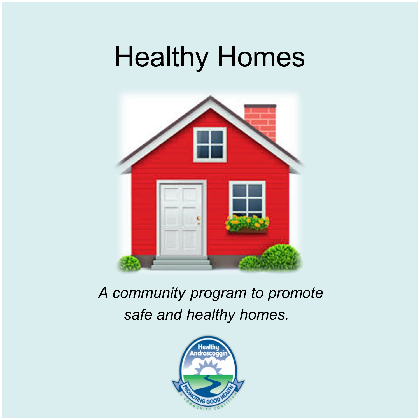# Healthy Homes



### *A community program to promote safe and healthy homes.*

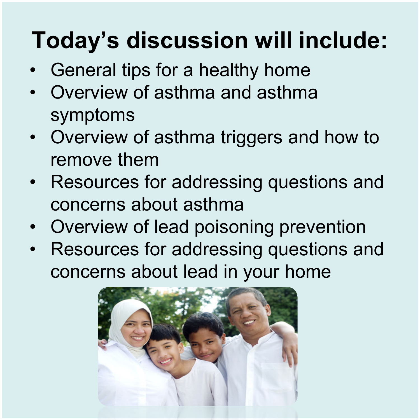# **Today's discussion will include:**

- General tips for a healthy home
- Overview of asthma and asthma symptoms
- Overview of asthma triggers and how to remove them
- Resources for addressing questions and concerns about asthma
- Overview of lead poisoning prevention
- Resources for addressing questions and concerns about lead in your home

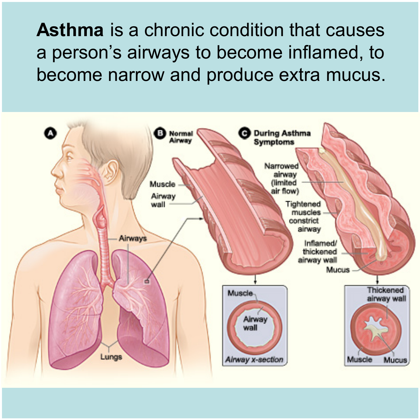a person's airways to become inflamed, to **Asthma** is a chronic condition that causes become narrow and produce extra mucus.

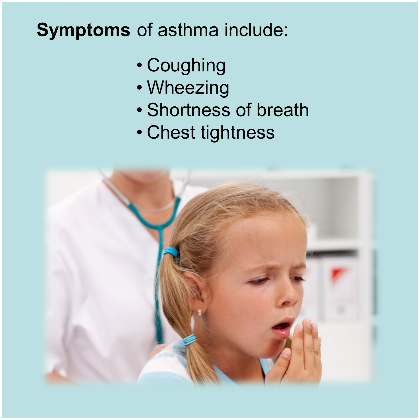### **Symptoms** of asthma include:

- Pests Can Trigger Asthma Coughing
	- Wheezing
	- Shortness of breath
	- Chest tightness

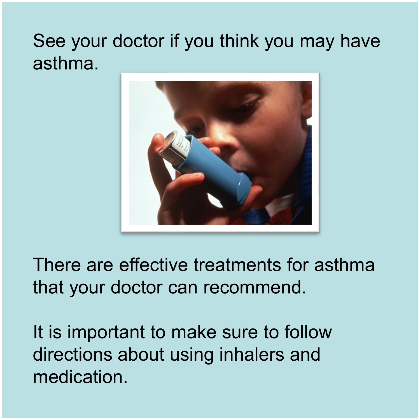### See your doctor if you think you may have asthma.



There are effective treatments for asthma that your doctor can recommend.

It is important to make sure to follow directions about using inhalers and medication.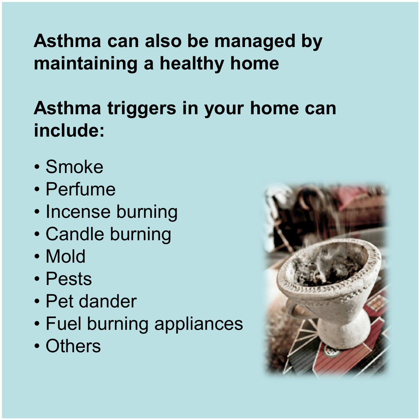Asthma can also be managed by **maintaining a healthy home**

## **Asthma triggers in your home can include:**

- Smoke
- Perfume
- Incense burning
- Candle burning
- Mold
- Pests
- Pet dander
- Fuel burning appliances
- Others

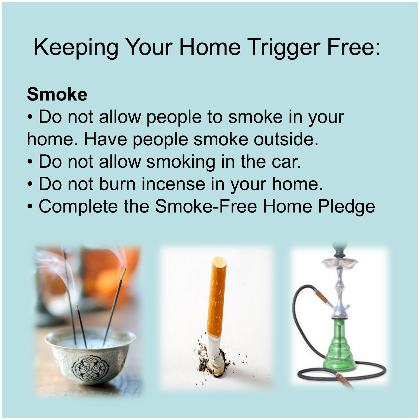# Keeping Your Home Trigger Free:

## **Smoke**

- Do not allow people to smoke in your home. Have people smoke outside.
- Do not allow smoking in the car.
- Do not burn incense in your home.
- Complete the Smoke-Free Home Pledge

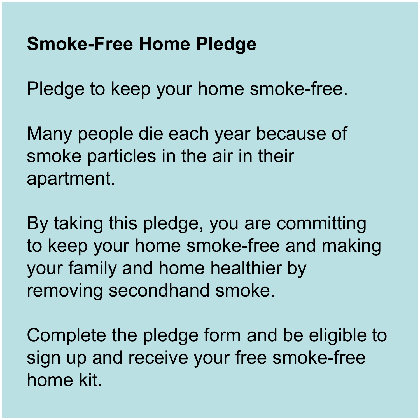### **Smoke-Free Home Pledge**

Pledge to keep your home smoke-free.

Many people die each year because of smoke particles in the air in their apartment.

By taking this pledge, you are committing to keep your home smoke-free and making your family and home healthier by removing secondhand smoke.

Complete the pledge form and be eligible to sign up and receive your free smoke-free home kit.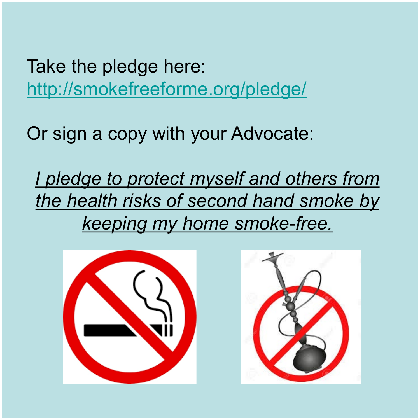Take the pledge here: <http://smokefreeforme.org/pledge/>

Or sign a copy with your Advocate:

*I pledge to protect myself and others from the health risks of second hand smoke by keeping my home smoke-free.*



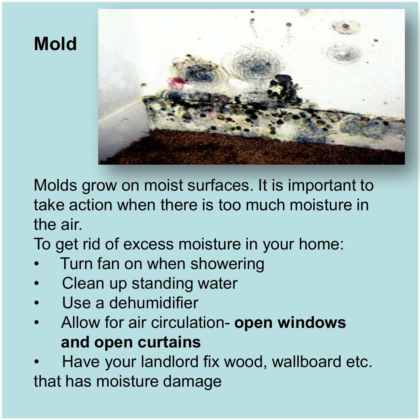

Molds grow on moist surfaces. It is important to take action when there is too much moisture in the air.

To get rid of excess moisture in your home:

- Turn fan on when showering
- Clean up standing water
- Use a dehumidifier
- Allow for air circulation- **open windows and open curtains**

• Have your landlord fix wood, wallboard etc. that has moisture damage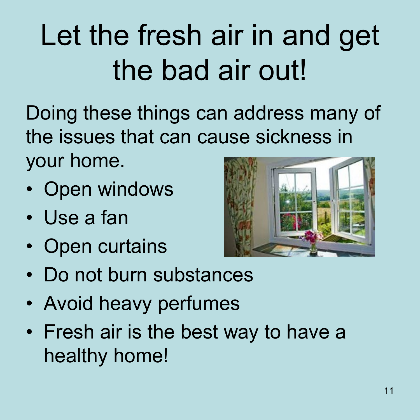# Let the fresh air in and get the bad air out!

Doing these things can address many of the issues that can cause sickness in your home.

- Open windows
- Use a fan
- Open curtains



- Do not burn substances
- Avoid heavy perfumes
- Fresh air is the best way to have a healthy home!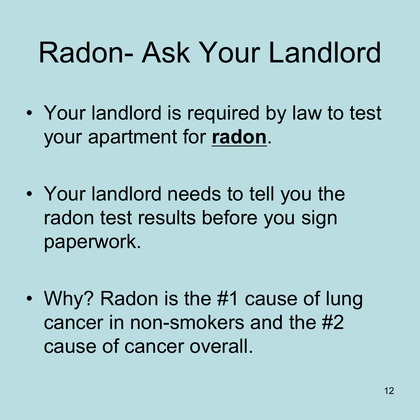# Radon- Ask Your Landlord

- Your landlord is required by law to test your apartment for **radon**.
- Your landlord needs to tell you the radon test results before you sign paperwork.
- Why? Radon is the #1 cause of lung cancer in non-smokers and the #2 cause of cancer overall.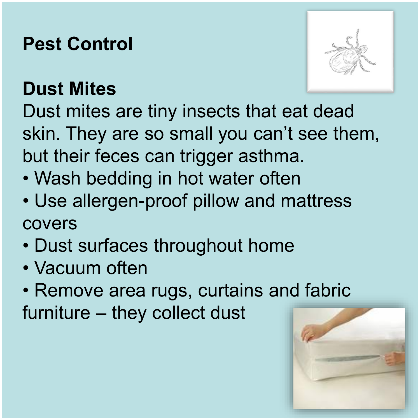### **Pest Control**



## **Dust Mites**

Dust mites are tiny insects that eat dead skin. They are so small you can't see them, but their feces can trigger asthma.

- Wash bedding in hot water often
- Use allergen-proof pillow and mattress covers
- Dust surfaces throughout home
- Vacuum often
- Remove area rugs, curtains [and fabric](http://www.google.com/url?sa=i&rct=j&q=&esrc=s&frm=1&source=images&cd=&cad=rja&uact=8&ved=0ahUKEwi-lJStmLjSAhUJMSYKHSPNBNIQjRwIBQ&url=http%3A%2F%2Faeonweb.us%2Fmattress-cover-allergen%2F&psig=AFQjCNEmfWLL7-UjuO456pEQUazaBuxOCQ&ust=1488556803327105)

furniture – they collect dust

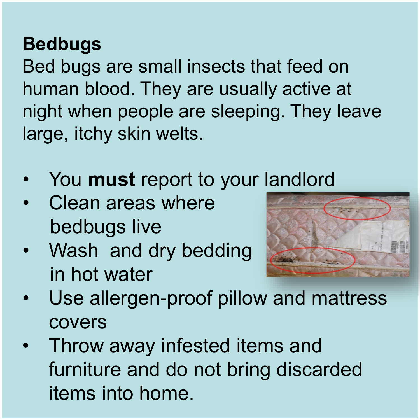**Bedbugs**<br>Bed bugs are small insects that feed on human blood. They are usually active at night when people are sleeping. They leave large, itchy skin welts.

- You **must** report to your landlord
- Clean areas where bedbugs live
- Wash and dry bedding in hot water



- Use allergen-proof pillow and mattress covers
- Throw away infested items and furniture and do not bring discarded items into home.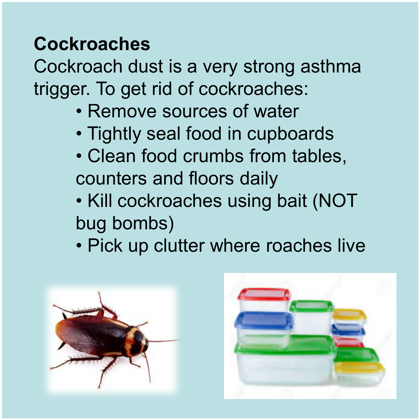**Cockroaches**<br>Cockroach dust is a very strong asthma trigger. To get rid of cockroaches:

- Remove sources of water
- Tightly seal food in cupboards
- Clean food crumbs from tables, counters and floors daily
- Kill cockroaches using bait (NOT bug bombs)
- Pick up clutter where roaches live



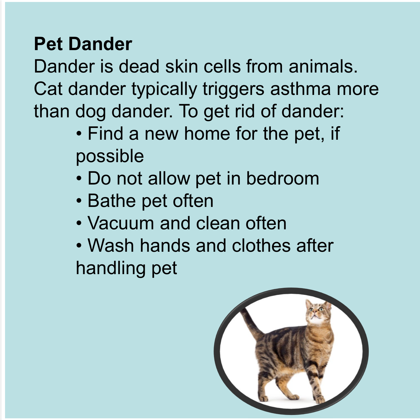**Pet Dander**<br>Dander is dead skin cells from animals. Cat dander typically triggers asthma more than dog dander. To get rid of dander:

- Find a new home for the pet, if possible
- Do not allow pet in bedroom
- Bathe pet often
- Vacuum and clean often
- Wash hands and clothes after handling pet

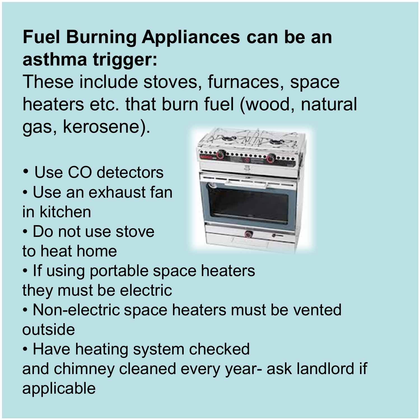### **Fuel Burning Appliances can be an asthma trigger:**

These include stoves, furnaces, space heaters etc. that burn fuel (wood, natural gas, kerosene).

- Use CO detectors
- Use an exhaust fan in kitchen
- Do not use stove to heat home



- If using portable space heaters they must be electric
- Non-electric space heaters must be vented outside

• Have heating system checked and chimney cleaned every year- ask landlord if applicable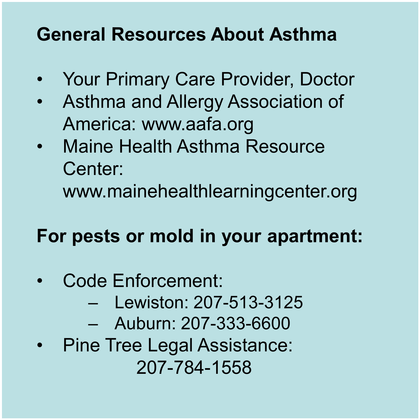## Pests Can Trigger Asthma **General Resources About Asthma**

- Your Primary Care Provider, Doctor
- Asthma and Allergy Association of America: www.aafa.org
- Maine Health Asthma Resource Center: www.mainehealthlearningcenter.org

### **For pests or mold in your apartment:**

- Code Enforcement:
	- Lewiston: 207-513-3125
	- Auburn: 207-333-6600
- Pine Tree Legal Assistance: 207-784-1558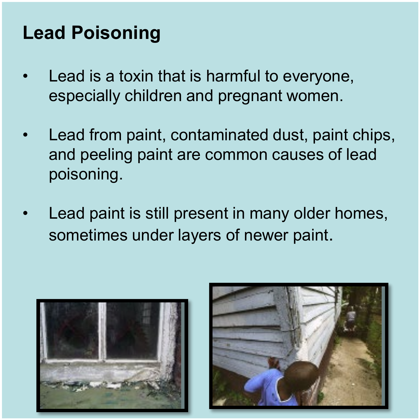### **Lead Poisoning**

- Lead is a toxin that is harmful to everyone, especially children and pregnant women.
- Lead from paint, contaminated dust, paint chips, and peeling paint are common causes of lead poisoning.
- Lead paint is still present in many older homes, sometimes under layers of newer paint.



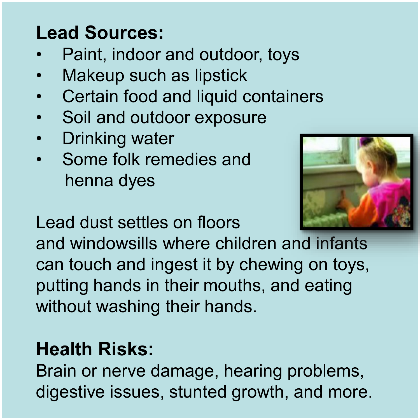### **Lead Sources:**

- Paint, indoor and outdoor, toys
- Makeup such as lipstick
- Certain food and liquid containers
- Soil and outdoor exposure
- Drinking water
- Some folk remedies and henna dyes



Lead dust settles on floors

and windowsills where children and infants can touch and ingest it by chewing on toys, putting hands in their mouths, and eating without washing their hands.

### **Health Risks:**

Brain or nerve damage, hearing problems, digestive issues, stunted growth, and more.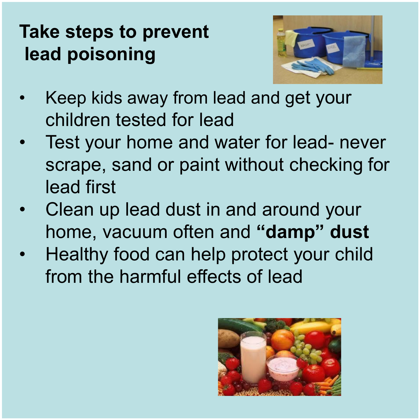## lead poisoning<br> **lead poisoning Take steps to prevent**



- Keep kids away from lead and get your children tested for lead
- Test your home and water for lead- never scrape, sand or paint without checking for lead first
- Clean up lead dust in and around your home, vacuum often and **"damp" dust**
- Healthy food can help protect your child from the harmful effects of lead

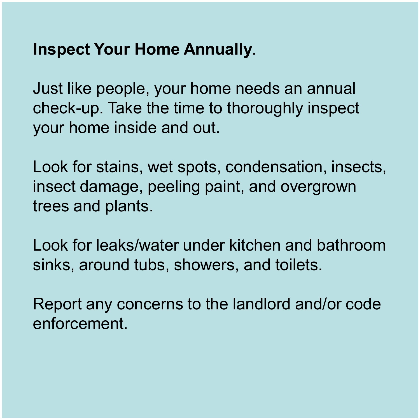### **Inspect Your Home Annually.**

Just like people, your home needs an annual check-up. Take the time to thoroughly inspect your home inside and out.

Look for stains, wet spots, condensation, insects, insect damage, peeling paint, and overgrown trees and plants.

Look for leaks/water under kitchen and bathroom sinks, around tubs, showers, and toilets.

Report any concerns to the landlord and/or code enforcement.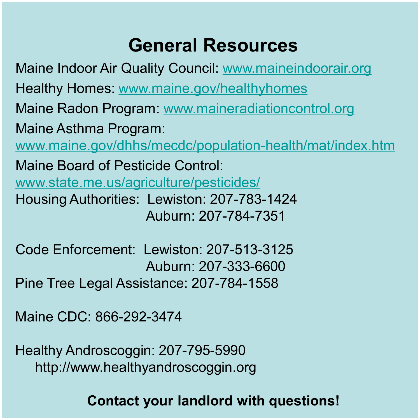**Peneral Resources وGeneral Resources**<br>Maine Indoor Air Quality Council: <u>www.maineindoorair.org</u> Healthy Homes: [www.maine.gov/healthyhomes](http://www.maine.gov/healthyhomes) Maine Radon Program: [www.maineradiationcontrol.org](http://www.maineradiationcontrol.org/) Maine Asthma Program: [www.maine.gov/dhhs/mecdc/population-health/mat/index.htm](http://www.maine.gov/dhhs/mecdc/population-health/mat/index.htm) Maine Board of Pesticide Control: [www.state.me.us/agriculture/pesticides/](http://www.state.me.us/agriculture/pesticides/) Housing Authorities: Lewiston: 207-783-1424 Auburn: 207-784-7351

Code Enforcement: Lewiston: 207-513-3125 Auburn: 207-333-6600 Pine Tree Legal Assistance: 207-784-1558

Maine CDC: 866-292-3474

Healthy Androscoggin: 207-795-5990 http://www.healthyandroscoggin.org

### **Contact your landlord with questions!**